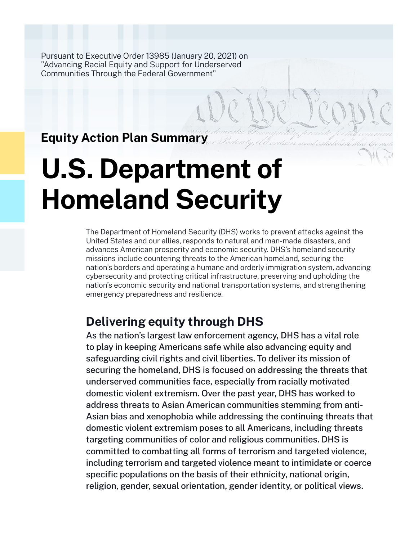Pursuant to Executive Order 13985 (January 20, 2021) on "Advancing Racial Equity and Support for Underserved Communities Through the Federal Government"

**Equity Action Plan Summary**

# **U.S. Department of Homeland Security**

The Department of Homeland Security (DHS) works to prevent attacks against the United States and our allies, responds to natural and man-made disasters, and advances American prosperity and economic security. DHS's homeland security missions include countering threats to the American homeland, securing the nation's borders and operating a humane and orderly immigration system, advancing cybersecurity and protecting critical infrastructure, preserving and upholding the nation's economic security and national transportation systems, and strengthening emergency preparedness and resilience.

# **Delivering equity through DHS**

As the nation's largest law enforcement agency, DHS has a vital role to play in keeping Americans safe while also advancing equity and safeguarding civil rights and civil liberties. To deliver its mission of securing the homeland, DHS is focused on addressing the threats that underserved communities face, especially from racially motivated domestic violent extremism. Over the past year, DHS has worked to address threats to Asian American communities stemming from anti-Asian bias and xenophobia while addressing the continuing threats that domestic violent extremism poses to all Americans, including threats targeting communities of color and religious communities. DHS is committed to combatting all forms of terrorism and targeted violence, including terrorism and targeted violence meant to intimidate or coerce specific populations on the basis of their ethnicity, national origin, religion, gender, sexual orientation, gender identity, or political views.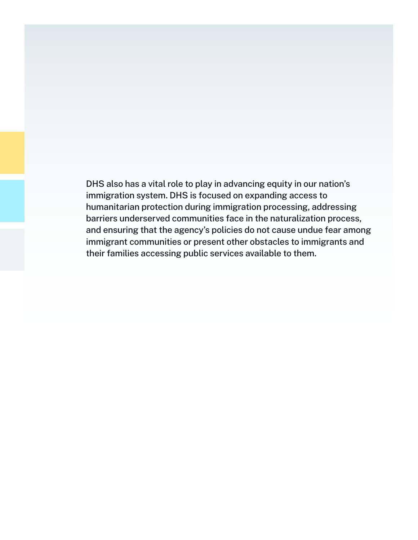DHS also has a vital role to play in advancing equity in our nation's immigration system. DHS is focused on expanding access to humanitarian protection during immigration processing, addressing barriers underserved communities face in the naturalization process, and ensuring that the agency's policies do not cause undue fear among immigrant communities or present other obstacles to immigrants and their families accessing public services available to them.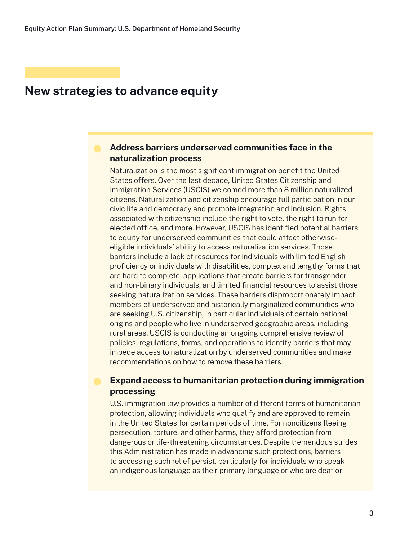### **Address barriers underserved communities face in the naturalization process**

Naturalization is the most significant immigration benefit the United States offers. Over the last decade, United States Citizenship and Immigration Services (USCIS) welcomed more than 8 million naturalized citizens. Naturalization and citizenship encourage full participation in our civic life and democracy and promote integration and inclusion. Rights associated with citizenship include the right to vote, the right to run for elected office, and more. However, USCIS has identified potential barriers to equity for underserved communities that could affect otherwiseeligible individuals' ability to access naturalization services. Those barriers include a lack of resources for individuals with limited English proficiency or individuals with disabilities, complex and lengthy forms that are hard to complete, applications that create barriers for transgender and non-binary individuals, and limited financial resources to assist those seeking naturalization services. These barriers disproportionately impact members of underserved and historically marginalized communities who are seeking U.S. citizenship, in particular individuals of certain national origins and people who live in underserved geographic areas, including rural areas. USCIS is conducting an ongoing comprehensive review of policies, regulations, forms, and operations to identify barriers that may impede access to naturalization by underserved communities and make recommendations on how to remove these barriers.

### **Expand access to humanitarian protection during immigration processing**

U.S. immigration law provides a number of different forms of humanitarian protection, allowing individuals who qualify and are approved to remain in the United States for certain periods of time. For noncitizens fleeing persecution, torture, and other harms, they afford protection from dangerous or life-threatening circumstances. Despite tremendous strides this Administration has made in advancing such protections, barriers to accessing such relief persist, particularly for individuals who speak an indigenous language as their primary language or who are deaf or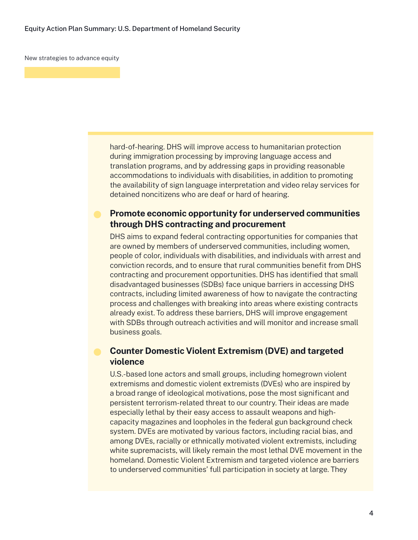hard-of-hearing. DHS will improve access to humanitarian protection during immigration processing by improving language access and translation programs, and by addressing gaps in providing reasonable accommodations to individuals with disabilities, in addition to promoting the availability of sign language interpretation and video relay services for detained noncitizens who are deaf or hard of hearing.

### **Promote economic opportunity for underserved communities through DHS contracting and procurement**

DHS aims to expand federal contracting opportunities for companies that are owned by members of underserved communities, including women, people of color, individuals with disabilities, and individuals with arrest and conviction records, and to ensure that rural communities benefit from DHS contracting and procurement opportunities. DHS has identified that small disadvantaged businesses (SDBs) face unique barriers in accessing DHS contracts, including limited awareness of how to navigate the contracting process and challenges with breaking into areas where existing contracts already exist. To address these barriers, DHS will improve engagement with SDBs through outreach activities and will monitor and increase small business goals.

### **Counter Domestic Violent Extremism (DVE) and targeted violence**

U.S.-based lone actors and small groups, including homegrown violent extremisms and domestic violent extremists (DVEs) who are inspired by a broad range of ideological motivations, pose the most significant and persistent terrorism-related threat to our country. Their ideas are made especially lethal by their easy access to assault weapons and highcapacity magazines and loopholes in the federal gun background check system. DVEs are motivated by various factors, including racial bias, and among DVEs, racially or ethnically motivated violent extremists, including white supremacists, will likely remain the most lethal DVE movement in the homeland. Domestic Violent Extremism and targeted violence are barriers to underserved communities' full participation in society at large. They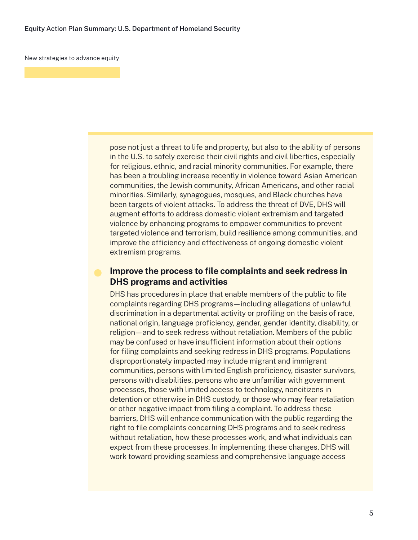pose not just a threat to life and property, but also to the ability of persons in the U.S. to safely exercise their civil rights and civil liberties, especially for religious, ethnic, and racial minority communities. For example, there has been a troubling increase recently in violence toward Asian American communities, the Jewish community, African Americans, and other racial minorities. Similarly, synagogues, mosques, and Black churches have been targets of violent attacks. To address the threat of DVE, DHS will augment efforts to address domestic violent extremism and targeted violence by enhancing programs to empower communities to prevent targeted violence and terrorism, build resilience among communities, and improve the efficiency and effectiveness of ongoing domestic violent extremism programs.

### **Improve the process to file complaints and seek redress in DHS programs and activities**

DHS has procedures in place that enable members of the public to file complaints regarding DHS programs—including allegations of unlawful discrimination in a departmental activity or profiling on the basis of race, national origin, language proficiency, gender, gender identity, disability, or religion—and to seek redress without retaliation. Members of the public may be confused or have insufficient information about their options for filing complaints and seeking redress in DHS programs. Populations disproportionately impacted may include migrant and immigrant communities, persons with limited English proficiency, disaster survivors, persons with disabilities, persons who are unfamiliar with government processes, those with limited access to technology, noncitizens in detention or otherwise in DHS custody, or those who may fear retaliation or other negative impact from filing a complaint. To address these barriers, DHS will enhance communication with the public regarding the right to file complaints concerning DHS programs and to seek redress without retaliation, how these processes work, and what individuals can expect from these processes. In implementing these changes, DHS will work toward providing seamless and comprehensive language access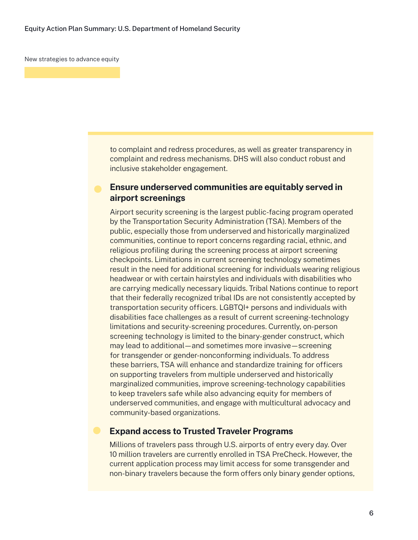to complaint and redress procedures, as well as greater transparency in complaint and redress mechanisms. DHS will also conduct robust and inclusive stakeholder engagement.

### **Ensure underserved communities are equitably served in airport screenings**

Airport security screening is the largest public-facing program operated by the Transportation Security Administration (TSA). Members of the public, especially those from underserved and historically marginalized communities, continue to report concerns regarding racial, ethnic, and religious profiling during the screening process at airport screening checkpoints. Limitations in current screening technology sometimes result in the need for additional screening for individuals wearing religious headwear or with certain hairstyles and individuals with disabilities who are carrying medically necessary liquids. Tribal Nations continue to report that their federally recognized tribal IDs are not consistently accepted by transportation security officers. LGBTQI+ persons and individuals with disabilities face challenges as a result of current screening-technology limitations and security-screening procedures. Currently, on-person screening technology is limited to the binary-gender construct, which may lead to additional—and sometimes more invasive—screening for transgender or gender-nonconforming individuals. To address these barriers, TSA will enhance and standardize training for officers on supporting travelers from multiple underserved and historically marginalized communities, improve screening-technology capabilities to keep travelers safe while also advancing equity for members of underserved communities, and engage with multicultural advocacy and community-based organizations.

### **Expand access to Trusted Traveler Programs**

Millions of travelers pass through U.S. airports of entry every day. Over 10 million travelers are currently enrolled in TSA PreCheck. However, the current application process may limit access for some transgender and non-binary travelers because the form offers only binary gender options,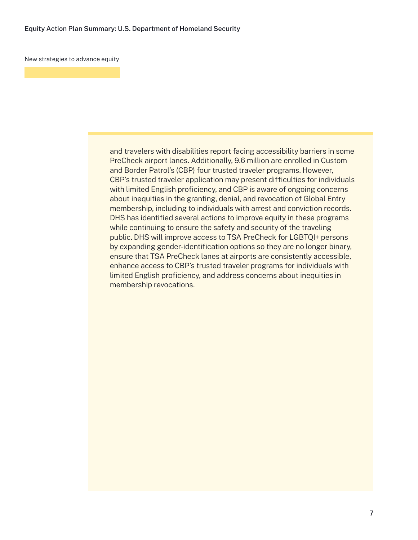and travelers with disabilities report facing accessibility barriers in some PreCheck airport lanes. Additionally, 9.6 million are enrolled in Custom and Border Patrol's (CBP) four trusted traveler programs. However, CBP's trusted traveler application may present difficulties for individuals with limited English proficiency, and CBP is aware of ongoing concerns about inequities in the granting, denial, and revocation of Global Entry membership, including to individuals with arrest and conviction records. DHS has identified several actions to improve equity in these programs while continuing to ensure the safety and security of the traveling public. DHS will improve access to TSA PreCheck for LGBTQI+ persons by expanding gender-identification options so they are no longer binary, ensure that TSA PreCheck lanes at airports are consistently accessible, enhance access to CBP's trusted traveler programs for individuals with limited English proficiency, and address concerns about inequities in membership revocations.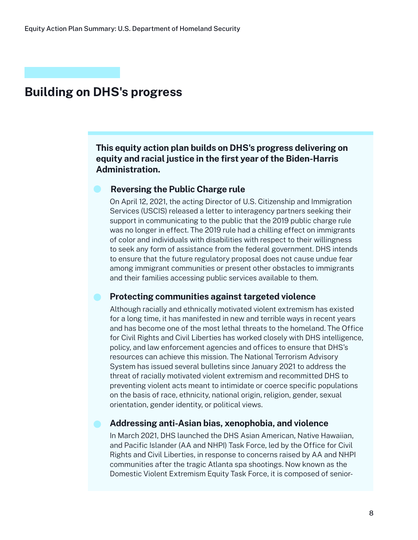# **Building on DHS's progress**

**This equity action plan builds on DHS's progress delivering on equity and racial justice in the first year of the Biden-Harris Administration.**

### **Reversing the Public Charge rule**

On April 12, 2021, the acting Director of U.S. Citizenship and Immigration Services (USCIS) released a letter to interagency partners seeking their support in communicating to the public that the 2019 public charge rule was no longer in effect. The 2019 rule had a chilling effect on immigrants of color and individuals with disabilities with respect to their willingness to seek any form of assistance from the federal government. DHS intends to ensure that the future regulatory proposal does not cause undue fear among immigrant communities or present other obstacles to immigrants and their families accessing public services available to them.

### **Protecting communities against targeted violence**

Although racially and ethnically motivated violent extremism has existed for a long time, it has manifested in new and terrible ways in recent years and has become one of the most lethal threats to the homeland. The Office for Civil Rights and Civil Liberties has worked closely with DHS intelligence, policy, and law enforcement agencies and offices to ensure that DHS's resources can achieve this mission. The National Terrorism Advisory System has issued several bulletins since January 2021 to address the threat of racially motivated violent extremism and recommitted DHS to preventing violent acts meant to intimidate or coerce specific populations on the basis of race, ethnicity, national origin, religion, gender, sexual orientation, gender identity, or political views.

### **Addressing anti-Asian bias, xenophobia, and violence**

In March 2021, DHS launched the DHS Asian American, Native Hawaiian, and Pacific Islander (AA and NHPI) Task Force, led by the Office for Civil Rights and Civil Liberties, in response to concerns raised by AA and NHPI communities after the tragic Atlanta spa shootings. Now known as the Domestic Violent Extremism Equity Task Force, it is composed of senior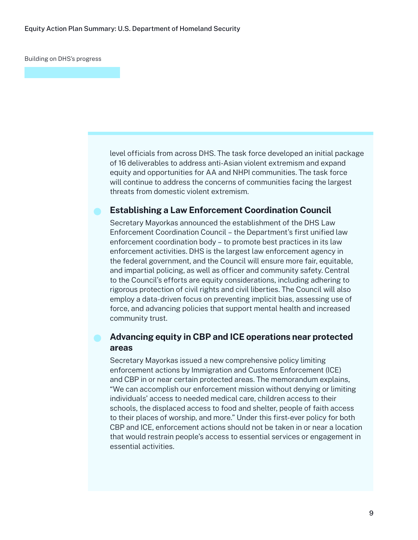Building on DHS's progress

level officials from across DHS. The task force developed an initial package of 16 deliverables to address anti-Asian violent extremism and expand equity and opportunities for AA and NHPI communities. The task force will continue to address the concerns of communities facing the largest threats from domestic violent extremism.

### **Establishing a Law Enforcement Coordination Council**

Secretary Mayorkas announced the establishment of the DHS Law Enforcement Coordination Council – the Department's first unified law enforcement coordination body – to promote best practices in its law enforcement activities. DHS is the largest law enforcement agency in the federal government, and the Council will ensure more fair, equitable, and impartial policing, as well as officer and community safety. Central to the Council's efforts are equity considerations, including adhering to rigorous protection of civil rights and civil liberties. The Council will also employ a data-driven focus on preventing implicit bias, assessing use of force, and advancing policies that support mental health and increased community trust.

## **Advancing equity in CBP and ICE operations near protected areas**

Secretary Mayorkas issued a new comprehensive policy limiting enforcement actions by Immigration and Customs Enforcement (ICE) and CBP in or near certain protected areas. The memorandum explains, "We can accomplish our enforcement mission without denying or limiting individuals' access to needed medical care, children access to their schools, the displaced access to food and shelter, people of faith access to their places of worship, and more." Under this first-ever policy for both CBP and ICE, enforcement actions should not be taken in or near a location that would restrain people's access to essential services or engagement in essential activities.